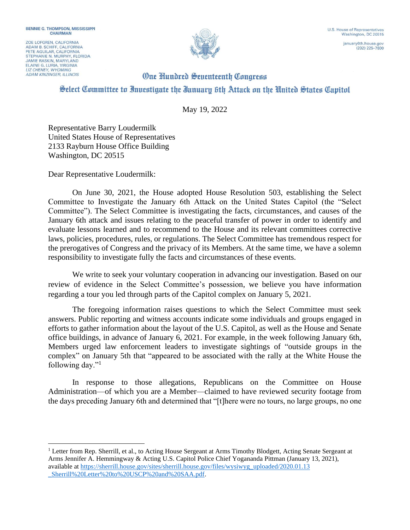ZOE LOFGREN, CALIFORNIA ADAM B. SCHIFF, CALIFORNIA<br>PETE AGUILAR, CALIFORNIA STEPHANIE N. MURPHY, FLORIDA **JAMIE RASKIN, MARYLAND** ELAINE G. LURIA, VIRGINIA **ADAM KINZINGER, ILLINOIS** 



(202) 225-7800

## **One Hundred Seventeenth Congress** Select Committee to Investigate the Ianuary 6th Attack on the United States Capitol

May 19, 2022

Representative Barry Loudermilk United States House of Representatives 2133 Rayburn House Office Building Washington, DC 20515

Dear Representative Loudermilk:

On June 30, 2021, the House adopted House Resolution 503, establishing the Select Committee to Investigate the January 6th Attack on the United States Capitol (the "Select Committee"). The Select Committee is investigating the facts, circumstances, and causes of the January 6th attack and issues relating to the peaceful transfer of power in order to identify and evaluate lessons learned and to recommend to the House and its relevant committees corrective laws, policies, procedures, rules, or regulations. The Select Committee has tremendous respect for the prerogatives of Congress and the privacy of its Members. At the same time, we have a solemn responsibility to investigate fully the facts and circumstances of these events.

We write to seek your voluntary cooperation in advancing our investigation. Based on our review of evidence in the Select Committee's possession, we believe you have information regarding a tour you led through parts of the Capitol complex on January 5, 2021.

The foregoing information raises questions to which the Select Committee must seek answers. Public reporting and witness accounts indicate some individuals and groups engaged in efforts to gather information about the layout of the U.S. Capitol, as well as the House and Senate office buildings, in advance of January 6, 2021. For example, in the week following January 6th, Members urged law enforcement leaders to investigate sightings of "outside groups in the complex" on January 5th that "appeared to be associated with the rally at the White House the following day."

In response to those allegations, Republicans on the Committee on House Administration—of which you are a Member—claimed to have reviewed security footage from the days preceding January 6th and determined that "[t]here were no tours, no large groups, no one

<sup>&</sup>lt;sup>1</sup> Letter from Rep. Sherrill, et al., to Acting House Sergeant at Arms Timothy Blodgett, Acting Senate Sergeant at Arms Jennifer A. Hemmingway & Acting U.S. Capitol Police Chief Yogananda Pittman (January 13, 2021), available at [https://sherrill.house.gov/sites/sherrill.house.gov/files/wysiwyg\\_uploaded/2020.01.13](https://sherrill.house.gov/sites/sherrill.house.gov/files/wysiwyg_uploaded/2020.01.13_Sherrill%20Letter%20to%20USCP%20and%20SAA.pdf) [\\_Sherrill%20Letter%20to%20USCP%20and%20SAA.pdf.](https://sherrill.house.gov/sites/sherrill.house.gov/files/wysiwyg_uploaded/2020.01.13_Sherrill%20Letter%20to%20USCP%20and%20SAA.pdf)